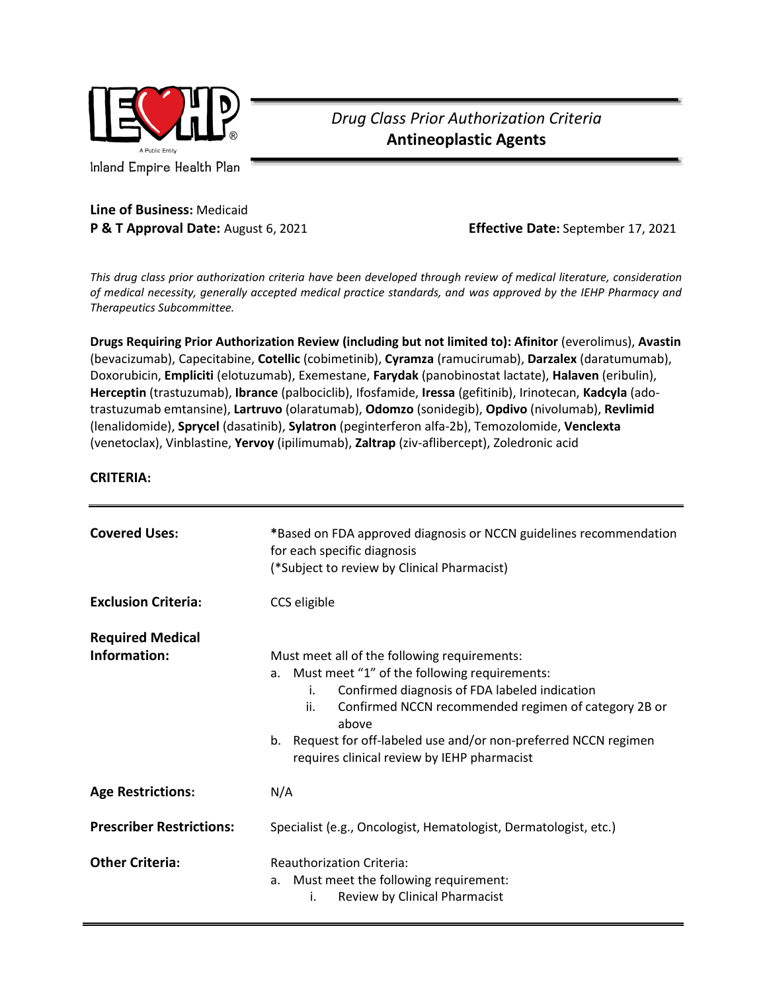

Inland Empire Health Plan

## *Drug Class Prior Authorization Criteria* **Antineoplastic Agents**

## **Line of Business:** Medicaid **P & T Approval Date:** August 6, 2021 **Effective Date:** September 17, 2021

*This drug class prior authorization criteria have been developed through review of medical literature, consideration of medical necessity, generally accepted medical practice standards, and was approved by the IEHP Pharmacy and Therapeutics Subcommittee.*

**Drugs Requiring Prior Authorization Review (including but not limited to): Afinitor** (everolimus), **Avastin** (bevacizumab), Capecitabine, **Cotellic** (cobimetinib), **Cyramza** (ramucirumab), **Darzalex** (daratumumab), Doxorubicin, **Empliciti** (elotuzumab), Exemestane, **Farydak** (panobinostat lactate), **Halaven** (eribulin), **Herceptin** (trastuzumab), **Ibrance** (palbociclib), Ifosfamide, **Iressa** (gefitinib), Irinotecan, **Kadcyla** (adotrastuzumab emtansine), **Lartruvo** (olaratumab), **Odomzo** (sonidegib), **Opdivo** (nivolumab), **Revlimid** (lenalidomide), **Sprycel** (dasatinib), **Sylatron** (peginterferon alfa-2b), Temozolomide, **Venclexta**  (venetoclax), Vinblastine, **Yervoy** (ipilimumab), **Zaltrap** (ziv-aflibercept), Zoledronic acid

## **CRITERIA:**

| <b>Covered Uses:</b>            | *Based on FDA approved diagnosis or NCCN guidelines recommendation<br>for each specific diagnosis<br>(*Subject to review by Clinical Pharmacist)                                                                                                                                                                                                  |
|---------------------------------|---------------------------------------------------------------------------------------------------------------------------------------------------------------------------------------------------------------------------------------------------------------------------------------------------------------------------------------------------|
| <b>Exclusion Criteria:</b>      | CCS eligible                                                                                                                                                                                                                                                                                                                                      |
| <b>Required Medical</b>         |                                                                                                                                                                                                                                                                                                                                                   |
| Information:                    | Must meet all of the following requirements:<br>a. Must meet "1" of the following requirements:<br>Confirmed diagnosis of FDA labeled indication<br>i.<br>Confirmed NCCN recommended regimen of category 2B or<br>ii.<br>above<br>b. Request for off-labeled use and/or non-preferred NCCN regimen<br>requires clinical review by IEHP pharmacist |
| <b>Age Restrictions:</b>        | N/A                                                                                                                                                                                                                                                                                                                                               |
| <b>Prescriber Restrictions:</b> | Specialist (e.g., Oncologist, Hematologist, Dermatologist, etc.)                                                                                                                                                                                                                                                                                  |
| <b>Other Criteria:</b>          | <b>Reauthorization Criteria:</b><br>Must meet the following requirement:<br>a.<br>Review by Clinical Pharmacist<br>i.                                                                                                                                                                                                                             |